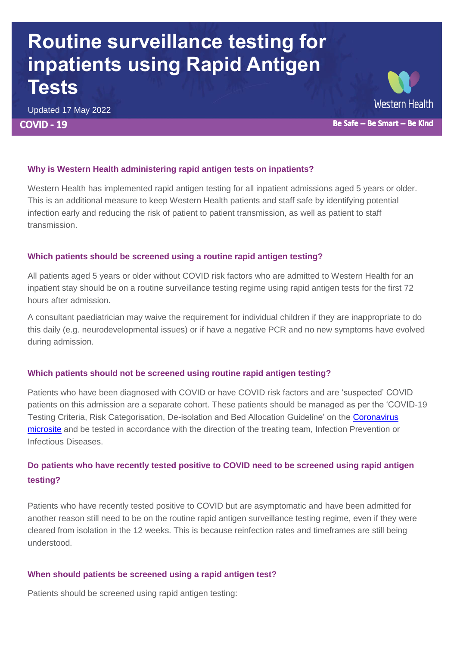## **Routine surveillance testing for inpatients using Rapid Antigen Tests**

Updated 17 May 2022 **COVID - 19** 

# Western Health

Be Safe -- Be Smart -- Be Kind

#### **Why is Western Health administering rapid antigen tests on inpatients?**

Western Health has implemented rapid antigen testing for all inpatient admissions aged 5 years or older. This is an additional measure to keep Western Health patients and staff safe by identifying potential infection early and reducing the risk of patient to patient transmission, as well as patient to staff transmission.

#### **Which patients should be screened using a routine rapid antigen testing?**

All patients aged 5 years or older without COVID risk factors who are admitted to Western Health for an inpatient stay should be on a routine surveillance testing regime using rapid antigen tests for the first 72 hours after admission.

A consultant paediatrician may waive the requirement for individual children if they are inappropriate to do this daily (e.g. neurodevelopmental issues) or if have a negative PCR and no new symptoms have evolved during admission.

## **Which patients should not be screened using routine rapid antigen testing?**

Patients who have been diagnosed with COVID or have COVID risk factors and are 'suspected' COVID patients on this admission are a separate cohort. These patients should be managed as per the 'COVID-19 Testing Criteria, Risk Categorisation, De-isolation and Bed Allocation Guideline' on the [Coronavirus](https://coronavirus.wh.org.au/quick-reference-guides/)  [microsite](https://coronavirus.wh.org.au/quick-reference-guides/) and be tested in accordance with the direction of the treating team, Infection Prevention or Infectious Diseases.

## **Do patients who have recently tested positive to COVID need to be screened using rapid antigen testing?**

Patients who have recently tested positive to COVID but are asymptomatic and have been admitted for another reason still need to be on the routine rapid antigen surveillance testing regime, even if they were cleared from isolation in the 12 weeks. This is because reinfection rates and timeframes are still being understood.

## **When should patients be screened using a rapid antigen test?**

Patients should be screened using rapid antigen testing: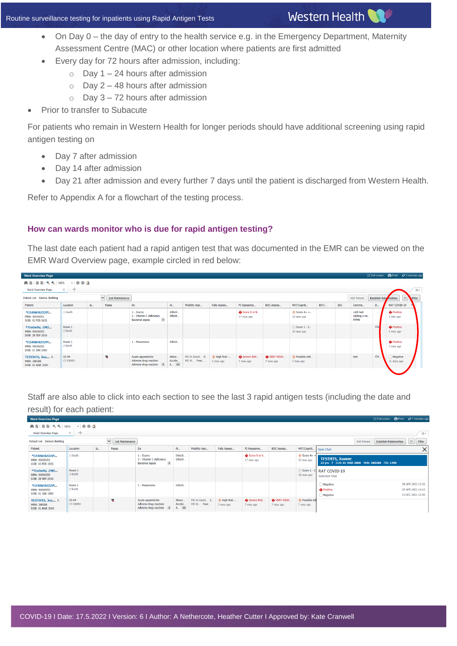- On Day 0 the day of entry to the health service e.g. in the Emergency Department, Maternity Assessment Centre (MAC) or other location where patients are first admitted
- Every day for 72 hours after admission, including:
	- $\circ$  Day 1 24 hours after admission
	- $\circ$  Day 2 48 hours after admission
	- $\circ$  Day 3 72 hours after admission
- Prior to transfer to Subacute

For patients who remain in Western Health for longer periods should have additional screening using rapid antigen testing on

- Day 7 after admission
- Day 14 after admission

Western Health

Day 21 after admission and every further 7 days until the patient is discharged from Western Health.

Refer to Appendix A for a flowchart of the testing process.

#### **How can wards monitor who is due for rapid antigen testing?**

The last date each patient had a rapid antigen test that was documented in the EMR can be viewed on the EMR Ward Overview page, example circled in red below:

| <b>Ward Overview Page</b>                                |                      |    |                                   |                                                                                   |                            |                            |                          |                            |                        |                                          |          |            |                                         |                       |                                | □ Full screen ■ Print → 5 minutes ago |
|----------------------------------------------------------|----------------------|----|-----------------------------------|-----------------------------------------------------------------------------------|----------------------------|----------------------------|--------------------------|----------------------------|------------------------|------------------------------------------|----------|------------|-----------------------------------------|-----------------------|--------------------------------|---------------------------------------|
| $\mathcal{A}=\mathcal{A}$<br>100%                        |                      |    |                                   |                                                                                   |                            |                            |                          |                            |                        |                                          |          |            |                                         |                       |                                |                                       |
| $\times$<br>Ward Overview Page<br>$+$                    |                      |    |                                   |                                                                                   |                            |                            |                          |                            |                        |                                          | $\equiv$ |            |                                         |                       |                                |                                       |
| Patient List Demo1 Building                              |                      |    | $\vee$<br><b>List Maintenance</b> |                                                                                   |                            |                            |                          |                            |                        |                                          |          |            | <b>Add Patient</b>                      | <b>Establish Rela</b> | onships                        | $\sharp \equiv$<br>Filter             |
| Patient                                                  | Location             | Is | <b>Resus</b>                      | Dx                                                                                | Al                         | Mobility Assi              | Falls Assess.            | PI Assessme                | <b>BOC Assess</b>      | 4AT/Cogniti                              | BO?/     | <b>IDC</b> | Comme                                   | $D_{\cdot\cdot}$      | RAT COVID-19                   |                                       |
| *CERNERZZZP<br>MRN: 90000051<br>DOB: 03 FEB 1935         | 1 South              |    |                                   | 1 - Scurvy<br>2 - Vitamin C deficiency<br><b>Bacterial sepsis</b><br>$\mathbf{1}$ | Infecti.<br>Infecti.       |                            |                          | Score 9 or b<br>17 mos ago |                        | $\circled{+}$ Score 4+ =<br>$10$ mos ago |          |            | cath test<br>Adding a ne<br><b>FFMN</b> |                       | <b>O</b> Positive<br>3 wks ago |                                       |
| *Testwhs, EMI<br>MRN: 90000052<br>DOB: 28 SEP 2016       | Room 1<br>2 North    |    |                                   |                                                                                   |                            |                            |                          |                            |                        | (!) Score 1 - 3<br>10 mos ago            |          |            |                                         | Cle                   | <b>O</b> Positive<br>5 mos ago |                                       |
| *CERNERZZZP<br>MRN: 90000053<br>DOB: 01 JAN 1983         | Room 1<br>2 North    |    |                                   | 1 - Pneumonia                                                                     | Infecti.                   |                            |                          |                            |                        |                                          |          |            |                                         |                       | <b>O</b> Positive<br>7 mos ago |                                       |
| <b>TESTHTS, Joa</b> 2<br>MRN: 288288<br>DOB: 01 MAR 2000 | $03 - 04$<br>CY-DEMO |    | o.                                | Acute appendicitis<br>Adverse drug reaction<br>Adverse drug reaction 2            | Abnor.<br>Accide<br>A., 12 | MS W Assist S<br>MS W Four | High Risk -<br>3 mos ago | Severe Risk<br>7 mos ago   | VERY HIGH<br>7 mos ago | ← Possible deli<br>7 mos ago             |          |            | test                                    | Cle.                  | Negative<br>11 days ago        |                                       |

Staff are also able to click into each section to see the last 3 rapid antigen tests (including the date and result) for each patient:

| <b>Ward Overview Page</b>                                                                            |                      |    |                                   |                                                                                     |                              |                            |                          |                            |                                  |                                     |                                                                           |                                | [□] Full screen 面 Print 2 7 minutes ago                     |
|------------------------------------------------------------------------------------------------------|----------------------|----|-----------------------------------|-------------------------------------------------------------------------------------|------------------------------|----------------------------|--------------------------|----------------------------|----------------------------------|-------------------------------------|---------------------------------------------------------------------------|--------------------------------|-------------------------------------------------------------|
| $\bullet \bullet \bullet \Delta$<br>100%<br>$\times$<br>Ward Overview Page<br>$+$<br>$\equiv$ $\sim$ |                      |    |                                   |                                                                                     |                              |                            |                          |                            |                                  |                                     |                                                                           |                                |                                                             |
| Patient List Demo1 Building                                                                          |                      |    | $\vee$<br><b>List Maintenance</b> |                                                                                     |                              |                            |                          |                            |                                  |                                     | <b>Add Patient</b>                                                        | <b>Establish Relationships</b> | $z=$<br>Filter                                              |
| Patient                                                                                              | Location             | Is | Resus                             | Dx                                                                                  | <b>AL</b>                    | Mobility Assi              | Falls Assess             | PI Assessme                | <b>BOC Assess</b>                | 4AT/Cogniti.                        | Open Chart                                                                |                                | $\times$                                                    |
| *CERNERZZZP<br>MRN: 90000051<br>DOB: 03 FEB 1935                                                     | 1 South              |    |                                   | $1 -$ Scurvy<br>2 - Vitamin C deficiency<br>$\mathbf{1}$<br><b>Bacterial sepsis</b> | Infecti.<br>Infecti          |                            |                          | Score 9 or b<br>17 mos ago |                                  | $\bigcirc$ Score 4+ -<br>10 mos ago | <b>TESTHTS, Joanne</b><br>22 yrs F DOB: 01 MAR 2000 MRN: 288288 FIN: 1290 |                                |                                                             |
| *Testwhs, EMI<br>MRN: 90000052<br>DOB: 28 SEP 2016                                                   | Room 1<br>2 North    |    |                                   |                                                                                     |                              |                            |                          |                            |                                  | 10 mos ago                          | Score 1 - 3 RAT COVID-19<br>Selected Visit                                |                                |                                                             |
| *CERNERZZZP<br>MRN: 90000053<br>DOB: 01 JAN 1983                                                     | Room 1<br>2 North    |    |                                   | 1 - Pneumonia                                                                       | Infecti                      |                            |                          |                            |                                  |                                     | Negative<br><b>O</b> Positive<br>Negative                                 |                                | 28 APR 2022 15:56<br>20 APR 2022 14:10<br>13 DEC 2021 15:45 |
| <b>TESTHTS, Joa</b> 2.<br>MRN: 288288<br>DOB: 01 MAR 2000                                            | $03 - 04$<br>CY-DEMO |    | $\mathfrak{m}$                    | Acute appendicitis<br>Adverse drug reaction<br>Adverse drug reaction 2              | Abnor<br>Accide<br>$A_{}$ 12 | MS W Assist S<br>MS W Four | High Risk -<br>3 mos ago | Severe Risk<br>7 mos ago   | <b>O</b> VERY HIGH.<br>7 mos ago | ← Possible del<br>7 mos ago         |                                                                           |                                |                                                             |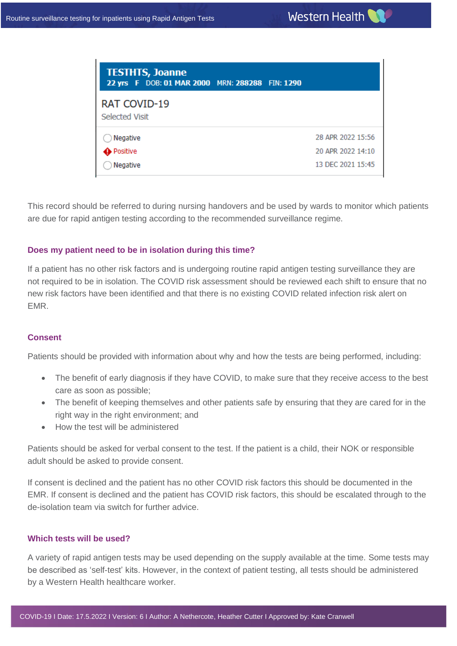| <b>TESTHTS, Joanne</b><br>22 yrs F DOB: 01 MAR 2000 MRN: 288288 FIN: 1290 |  |                   |
|---------------------------------------------------------------------------|--|-------------------|
| RAT COVID-19<br><b>Selected Visit</b>                                     |  |                   |
| Negative                                                                  |  | 28 APR 2022 15:56 |
| Positive                                                                  |  | 20 APR 2022 14:10 |
| Negative                                                                  |  | 13 DEC 2021 15:45 |

This record should be referred to during nursing handovers and be used by wards to monitor which patients are due for rapid antigen testing according to the recommended surveillance regime.

#### **Does my patient need to be in isolation during this time?**

If a patient has no other risk factors and is undergoing routine rapid antigen testing surveillance they are not required to be in isolation. The COVID risk assessment should be reviewed each shift to ensure that no new risk factors have been identified and that there is no existing COVID related infection risk alert on EMR.

#### **Consent**

Patients should be provided with information about why and how the tests are being performed, including:

- The benefit of early diagnosis if they have COVID, to make sure that they receive access to the best care as soon as possible;
- The benefit of keeping themselves and other patients safe by ensuring that they are cared for in the right way in the right environment; and
- How the test will be administered

Patients should be asked for verbal consent to the test. If the patient is a child, their NOK or responsible adult should be asked to provide consent.

If consent is declined and the patient has no other COVID risk factors this should be documented in the EMR. If consent is declined and the patient has COVID risk factors, this should be escalated through to the de-isolation team via switch for further advice.

#### **Which tests will be used?**

Western Health

A variety of rapid antigen tests may be used depending on the supply available at the time. Some tests may be described as 'self-test' kits. However, in the context of patient testing, all tests should be administered by a Western Health healthcare worker.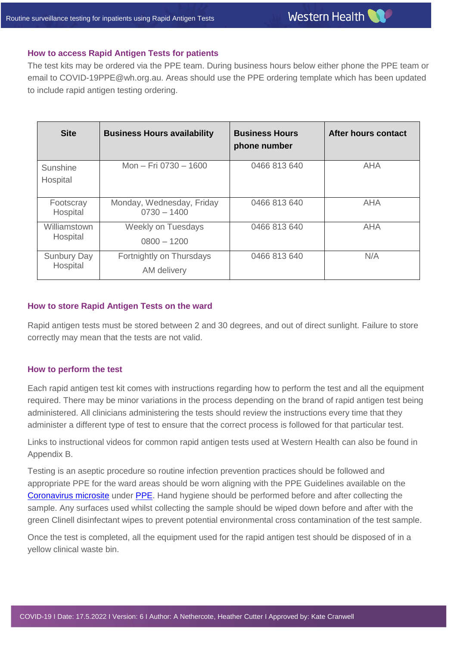#### **How to access Rapid Antigen Tests for patients**

The test kits may be ordered via the PPE team. During business hours below either phone the PPE team or email to [COVID-19PPE@wh.org.au.](mailto:COVID-19PPE@wh.org.au) Areas should use the PPE ordering template which has been updated to include rapid antigen testing ordering.

| <b>Site</b>                    | <b>Business Hours availability</b>         | <b>Business Hours</b><br>phone number | After hours contact |
|--------------------------------|--------------------------------------------|---------------------------------------|---------------------|
| Sunshine<br>Hospital           | Mon - Fri 0730 - 1600                      | 0466 813 640                          | <b>AHA</b>          |
| Footscray<br>Hospital          | Monday, Wednesday, Friday<br>$0730 - 1400$ | 0466 813 640                          | AHA                 |
| Williamstown<br>Hospital       | <b>Weekly on Tuesdays</b><br>$0800 - 1200$ | 0466 813 640                          | <b>AHA</b>          |
| <b>Sunbury Day</b><br>Hospital | Fortnightly on Thursdays<br>AM delivery    | 0466 813 640                          | N/A                 |

#### **How to store Rapid Antigen Tests on the ward**

Rapid antigen tests must be stored between 2 and 30 degrees, and out of direct sunlight. Failure to store correctly may mean that the tests are not valid.

#### **How to perform the test**

Western Health

Each rapid antigen test kit comes with instructions regarding how to perform the test and all the equipment required. There may be minor variations in the process depending on the brand of rapid antigen test being administered. All clinicians administering the tests should review the instructions every time that they administer a different type of test to ensure that the correct process is followed for that particular test.

Links to instructional videos for common rapid antigen tests used at Western Health can also be found in Appendix B.

Testing is an aseptic procedure so routine infection prevention practices should be followed and appropriate PPE for the ward areas should be worn aligning with the PPE Guidelines available on the [Coronavirus microsite](https://coronavirus.wh.org.au/) under [PPE.](https://coronavirus.wh.org.au/ppe/) Hand hygiene should be performed before and after collecting the sample. Any surfaces used whilst collecting the sample should be wiped down before and after with the green Clinell disinfectant wipes to prevent potential environmental cross contamination of the test sample.

Once the test is completed, all the equipment used for the rapid antigen test should be disposed of in a yellow clinical waste bin.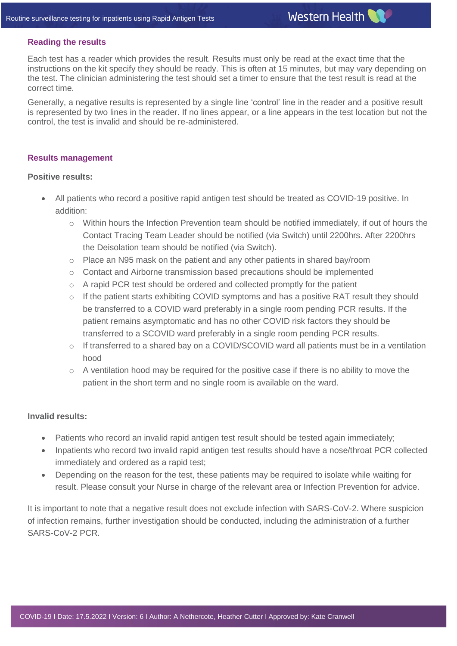#### **Reading the results**

Each test has a reader which provides the result. Results must only be read at the exact time that the instructions on the kit specify they should be ready. This is often at 15 minutes, but may vary depending on the test. The clinician administering the test should set a timer to ensure that the test result is read at the correct time.

Generally, a negative results is represented by a single line 'control' line in the reader and a positive result is represented by two lines in the reader. If no lines appear, or a line appears in the test location but not the control, the test is invalid and should be re-administered.

#### **Results management**

#### **Positive results:**

- All patients who record a positive rapid antigen test should be treated as COVID-19 positive. In addition:
	- o Within hours the Infection Prevention team should be notified immediately, if out of hours the Contact Tracing Team Leader should be notified (via Switch) until 2200hrs. After 2200hrs the Deisolation team should be notified (via Switch).
	- $\circ$  Place an N95 mask on the patient and any other patients in shared bay/room
	- o Contact and Airborne transmission based precautions should be implemented
	- $\circ$  A rapid PCR test should be ordered and collected promptly for the patient
	- $\circ$  If the patient starts exhibiting COVID symptoms and has a positive RAT result they should be transferred to a COVID ward preferably in a single room pending PCR results. If the patient remains asymptomatic and has no other COVID risk factors they should be transferred to a SCOVID ward preferably in a single room pending PCR results.
	- o If transferred to a shared bay on a COVID/SCOVID ward all patients must be in a ventilation hood
	- $\circ$  A ventilation hood may be required for the positive case if there is no ability to move the patient in the short term and no single room is available on the ward.

#### **Invalid results:**

Western Health

- Patients who record an invalid rapid antigen test result should be tested again immediately;
- Inpatients who record two invalid rapid antigen test results should have a nose/throat PCR collected immediately and ordered as a rapid test;
- Depending on the reason for the test, these patients may be required to isolate while waiting for result. Please consult your Nurse in charge of the relevant area or Infection Prevention for advice.

It is important to note that a negative result does not exclude infection with SARS-CoV-2. Where suspicion of infection remains, further investigation should be conducted, including the administration of a further SARS-CoV-2 PCR.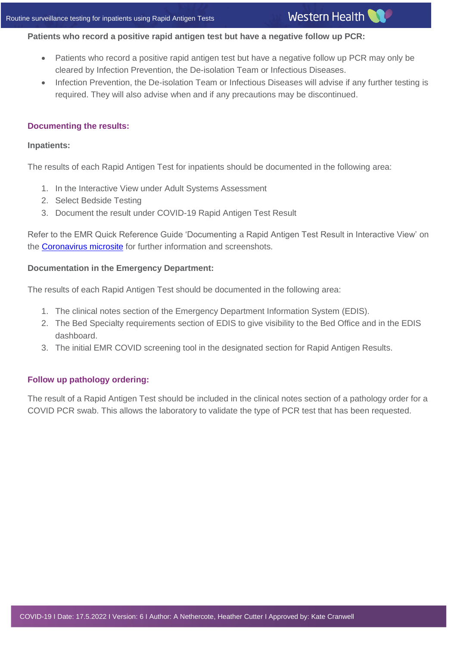## **Patients who record a positive rapid antigen test but have a negative follow up PCR:**

- Patients who record a positive rapid antigen test but have a negative follow up PCR may only be cleared by Infection Prevention, the De-isolation Team or Infectious Diseases.
- Infection Prevention, the De-isolation Team or Infectious Diseases will advise if any further testing is required. They will also advise when and if any precautions may be discontinued.

## **Documenting the results:**

### **Inpatients:**

The results of each Rapid Antigen Test for inpatients should be documented in the following area:

- 1. In the Interactive View under Adult Systems Assessment
- 2. Select Bedside Testing
- 3. Document the result under COVID-19 Rapid Antigen Test Result

Refer to the EMR Quick Reference Guide 'Documenting a Rapid Antigen Test Result in Interactive View' on the **Coronavirus microsite** for further information and screenshots.

## **Documentation in the Emergency Department:**

The results of each Rapid Antigen Test should be documented in the following area:

- 1. The clinical notes section of the Emergency Department Information System (EDIS).
- 2. The Bed Specialty requirements section of EDIS to give visibility to the Bed Office and in the EDIS dashboard.
- 3. The initial EMR COVID screening tool in the designated section for Rapid Antigen Results.

## **Follow up pathology ordering:**

Western Health

The result of a Rapid Antigen Test should be included in the clinical notes section of a pathology order for a COVID PCR swab. This allows the laboratory to validate the type of PCR test that has been requested.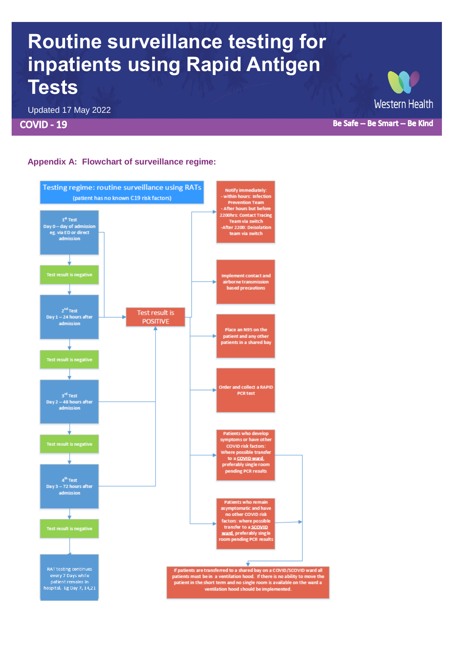## **Routine surveillance testing for inpatients using Rapid Antigen Tests**

Updated 17 May 2022

**COVID - 19** 

**Western Health** 

Be Safe -- Be Smart -- Be Kind

## **Appendix A: Flowchart of surveillance regime:**